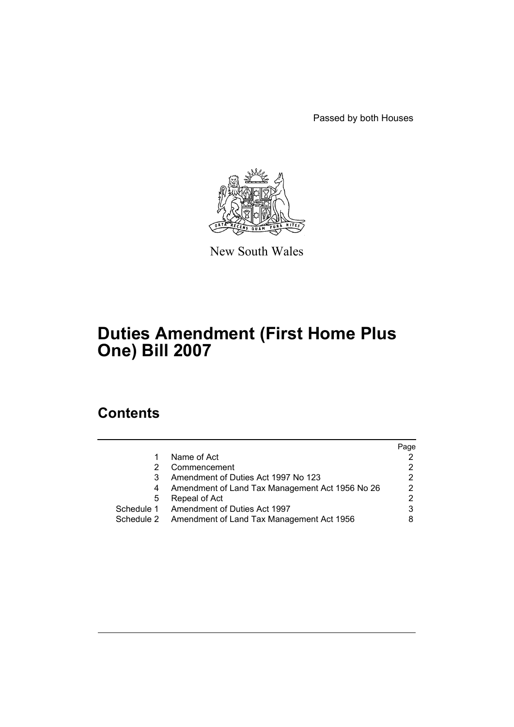Passed by both Houses



New South Wales

# **Duties Amendment (First Home Plus One) Bill 2007**

## **Contents**

|   |                                                      | Page |
|---|------------------------------------------------------|------|
|   | Name of Act                                          |      |
|   | Commencement                                         |      |
|   | Amendment of Duties Act 1997 No 123                  | 2    |
|   | Amendment of Land Tax Management Act 1956 No 26      | 2    |
| 5 | Repeal of Act                                        | 2    |
|   | Schedule 1 Amendment of Duties Act 1997              |      |
|   | Schedule 2 Amendment of Land Tax Management Act 1956 |      |
|   |                                                      |      |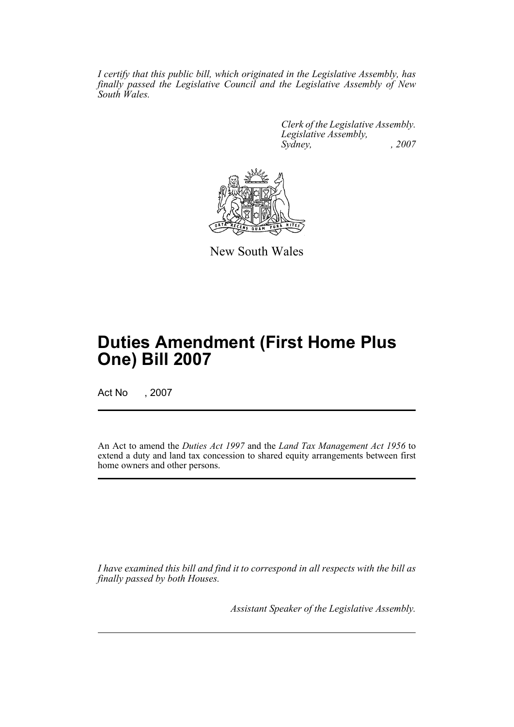*I certify that this public bill, which originated in the Legislative Assembly, has finally passed the Legislative Council and the Legislative Assembly of New South Wales.*

> *Clerk of the Legislative Assembly. Legislative Assembly, Sydney, , 2007*



New South Wales

## **Duties Amendment (First Home Plus One) Bill 2007**

Act No , 2007

An Act to amend the *Duties Act 1997* and the *Land Tax Management Act 1956* to extend a duty and land tax concession to shared equity arrangements between first home owners and other persons.

*I have examined this bill and find it to correspond in all respects with the bill as finally passed by both Houses.*

*Assistant Speaker of the Legislative Assembly.*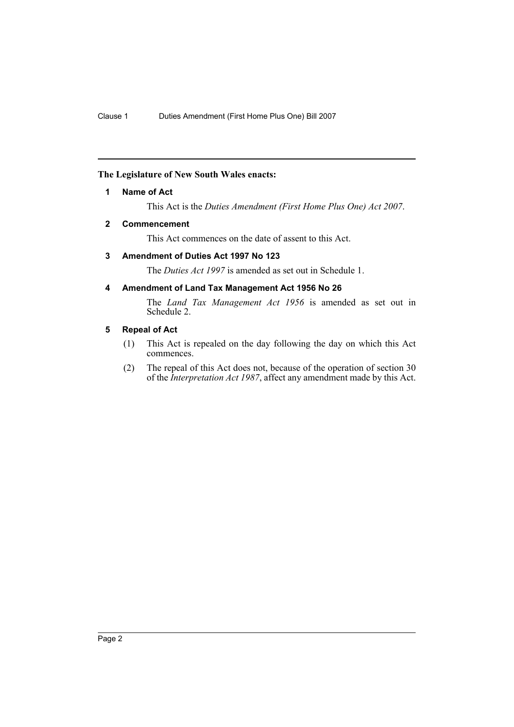#### <span id="page-2-0"></span>**The Legislature of New South Wales enacts:**

#### **1 Name of Act**

This Act is the *Duties Amendment (First Home Plus One) Act 2007*.

#### <span id="page-2-1"></span>**2 Commencement**

This Act commences on the date of assent to this Act.

#### <span id="page-2-2"></span>**3 Amendment of Duties Act 1997 No 123**

The *Duties Act 1997* is amended as set out in Schedule 1.

#### <span id="page-2-3"></span>**4 Amendment of Land Tax Management Act 1956 No 26**

The *Land Tax Management Act 1956* is amended as set out in Schedule 2.

#### <span id="page-2-4"></span>**5 Repeal of Act**

- (1) This Act is repealed on the day following the day on which this Act commences.
- (2) The repeal of this Act does not, because of the operation of section 30 of the *Interpretation Act 1987*, affect any amendment made by this Act.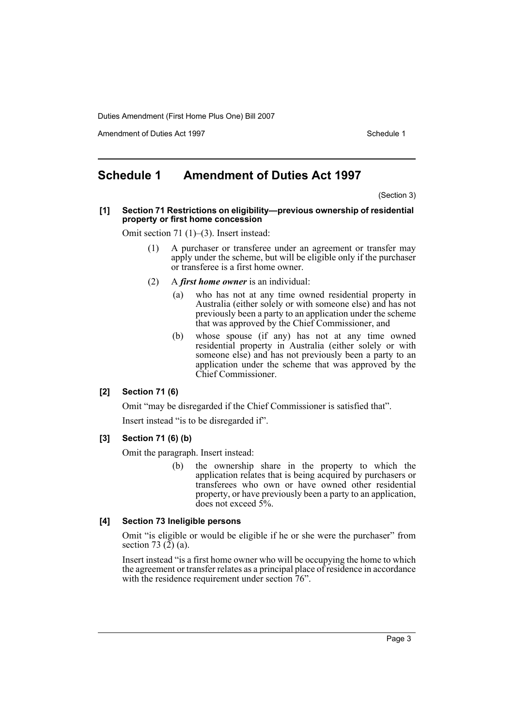Amendment of Duties Act 1997 New York 1997 New York 1997 New York 1997

## <span id="page-3-0"></span>**Schedule 1 Amendment of Duties Act 1997**

(Section 3)

**[1] Section 71 Restrictions on eligibility—previous ownership of residential property or first home concession**

Omit section 71 (1)–(3). Insert instead:

- (1) A purchaser or transferee under an agreement or transfer may apply under the scheme, but will be eligible only if the purchaser or transferee is a first home owner.
- (2) A *first home owner* is an individual:
	- (a) who has not at any time owned residential property in Australia (either solely or with someone else) and has not previously been a party to an application under the scheme that was approved by the Chief Commissioner, and
	- (b) whose spouse (if any) has not at any time owned residential property in Australia (either solely or with someone else) and has not previously been a party to an application under the scheme that was approved by the Chief Commissioner.

#### **[2] Section 71 (6)**

Omit "may be disregarded if the Chief Commissioner is satisfied that".

Insert instead "is to be disregarded if".

#### **[3] Section 71 (6) (b)**

Omit the paragraph. Insert instead:

(b) the ownership share in the property to which the application relates that is being acquired by purchasers or transferees who own or have owned other residential property, or have previously been a party to an application, does not exceed 5%.

#### **[4] Section 73 Ineligible persons**

Omit "is eligible or would be eligible if he or she were the purchaser" from section 73 $(2)$  $(a)$ .

Insert instead "is a first home owner who will be occupying the home to which the agreement or transfer relates as a principal place of residence in accordance with the residence requirement under section 76".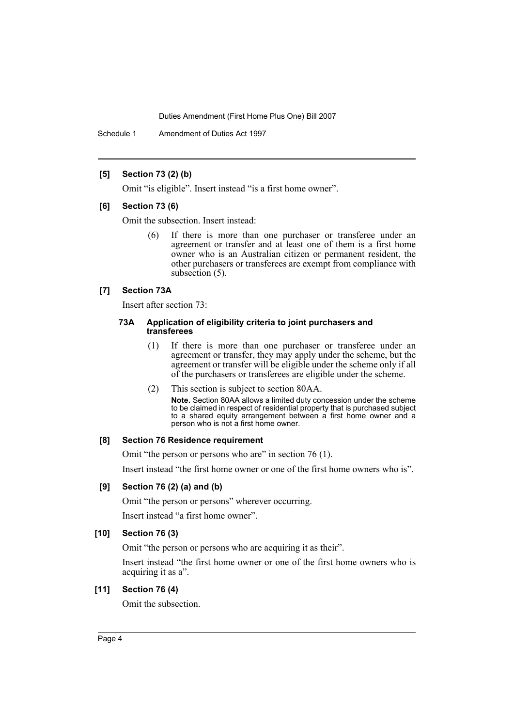Schedule 1 Amendment of Duties Act 1997

#### **[5] Section 73 (2) (b)**

Omit "is eligible". Insert instead "is a first home owner".

#### **[6] Section 73 (6)**

Omit the subsection. Insert instead:

(6) If there is more than one purchaser or transferee under an agreement or transfer and at least one of them is a first home owner who is an Australian citizen or permanent resident, the other purchasers or transferees are exempt from compliance with subsection (5).

#### **[7] Section 73A**

Insert after section 73:

#### **73A Application of eligibility criteria to joint purchasers and transferees**

- (1) If there is more than one purchaser or transferee under an agreement or transfer, they may apply under the scheme, but the agreement or transfer will be eligible under the scheme only if all of the purchasers or transferees are eligible under the scheme.
- (2) This section is subject to section 80AA. **Note.** Section 80AA allows a limited duty concession under the scheme to be claimed in respect of residential property that is purchased subject to a shared equity arrangement between a first home owner and a person who is not a first home owner.

#### **[8] Section 76 Residence requirement**

Omit "the person or persons who are" in section 76 (1). Insert instead "the first home owner or one of the first home owners who is".

#### **[9] Section 76 (2) (a) and (b)**

Omit "the person or persons" wherever occurring. Insert instead "a first home owner".

#### **[10] Section 76 (3)**

Omit "the person or persons who are acquiring it as their".

Insert instead "the first home owner or one of the first home owners who is acquiring it as a".

#### **[11] Section 76 (4)**

Omit the subsection.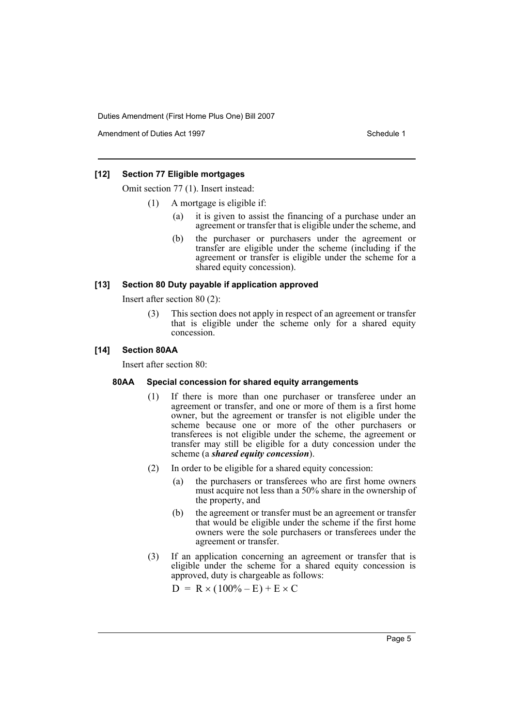Amendment of Duties Act 1997 New York 1997 New York 1997 New York 1997

#### **[12] Section 77 Eligible mortgages**

Omit section 77 (1). Insert instead:

- (1) A mortgage is eligible if:
	- (a) it is given to assist the financing of a purchase under an agreement or transfer that is eligible under the scheme, and
	- (b) the purchaser or purchasers under the agreement or transfer are eligible under the scheme (including if the agreement or transfer is eligible under the scheme for a shared equity concession).

#### **[13] Section 80 Duty payable if application approved**

Insert after section 80 (2):

(3) This section does not apply in respect of an agreement or transfer that is eligible under the scheme only for a shared equity concession.

#### **[14] Section 80AA**

Insert after section 80:

#### **80AA Special concession for shared equity arrangements**

- (1) If there is more than one purchaser or transferee under an agreement or transfer, and one or more of them is a first home owner, but the agreement or transfer is not eligible under the scheme because one or more of the other purchasers or transferees is not eligible under the scheme, the agreement or transfer may still be eligible for a duty concession under the scheme (a *shared equity concession*).
- (2) In order to be eligible for a shared equity concession:
	- (a) the purchasers or transferees who are first home owners must acquire not less than a 50% share in the ownership of the property, and
	- (b) the agreement or transfer must be an agreement or transfer that would be eligible under the scheme if the first home owners were the sole purchasers or transferees under the agreement or transfer.
- (3) If an application concerning an agreement or transfer that is eligible under the scheme for a shared equity concession is approved, duty is chargeable as follows:

 $D = R \times (100\% - E) + E \times C$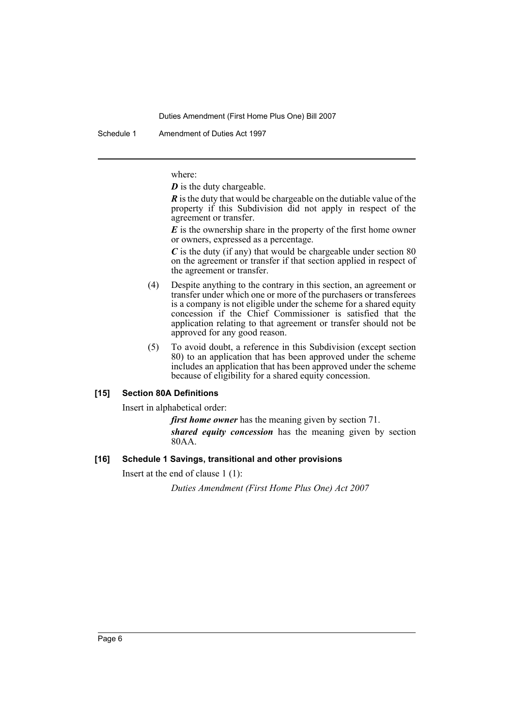Schedule 1 Amendment of Duties Act 1997

where:

*D* is the duty chargeable.

*R* is the duty that would be chargeable on the dutiable value of the property if this Subdivision did not apply in respect of the agreement or transfer.

*E* is the ownership share in the property of the first home owner or owners, expressed as a percentage.

*C* is the duty (if any) that would be chargeable under section 80 on the agreement or transfer if that section applied in respect of the agreement or transfer.

- (4) Despite anything to the contrary in this section, an agreement or transfer under which one or more of the purchasers or transferees is a company is not eligible under the scheme for a shared equity concession if the Chief Commissioner is satisfied that the application relating to that agreement or transfer should not be approved for any good reason.
- (5) To avoid doubt, a reference in this Subdivision (except section 80) to an application that has been approved under the scheme includes an application that has been approved under the scheme because of eligibility for a shared equity concession.

#### **[15] Section 80A Definitions**

Insert in alphabetical order:

*first home owner* has the meaning given by section 71.

*shared equity concession* has the meaning given by section 80AA.

#### **[16] Schedule 1 Savings, transitional and other provisions**

Insert at the end of clause 1 (1):

*Duties Amendment (First Home Plus One) Act 2007*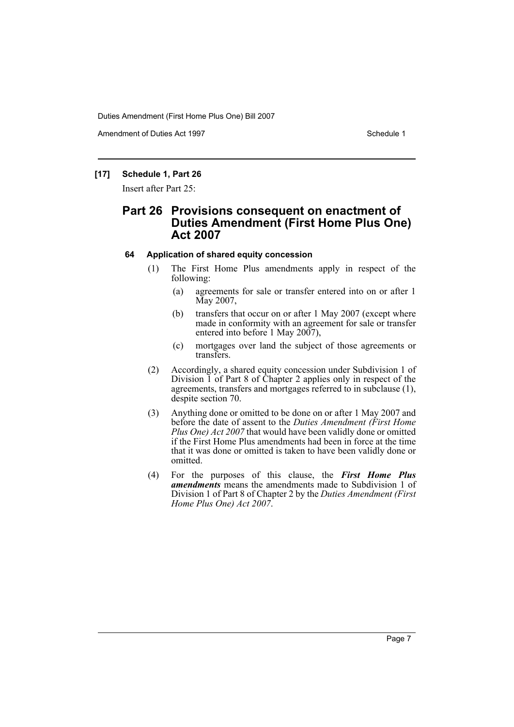Amendment of Duties Act 1997 New York 1997 Network 1997

#### **[17] Schedule 1, Part 26**

Insert after Part 25:

## **Part 26 Provisions consequent on enactment of Duties Amendment (First Home Plus One) Act 2007**

#### **64 Application of shared equity concession**

- (1) The First Home Plus amendments apply in respect of the following:
	- (a) agreements for sale or transfer entered into on or after 1 May 2007,
	- (b) transfers that occur on or after 1 May 2007 (except where made in conformity with an agreement for sale or transfer entered into before 1 May 2007),
	- (c) mortgages over land the subject of those agreements or transfers.
- (2) Accordingly, a shared equity concession under Subdivision 1 of Division 1 of Part 8 of Chapter 2 applies only in respect of the agreements, transfers and mortgages referred to in subclause (1), despite section 70.
- (3) Anything done or omitted to be done on or after 1 May 2007 and before the date of assent to the *Duties Amendment (First Home Plus One) Act 2007* that would have been validly done or omitted if the First Home Plus amendments had been in force at the time that it was done or omitted is taken to have been validly done or omitted.
- (4) For the purposes of this clause, the *First Home Plus amendments* means the amendments made to Subdivision 1 of Division 1 of Part 8 of Chapter 2 by the *Duties Amendment (First Home Plus One) Act 2007*.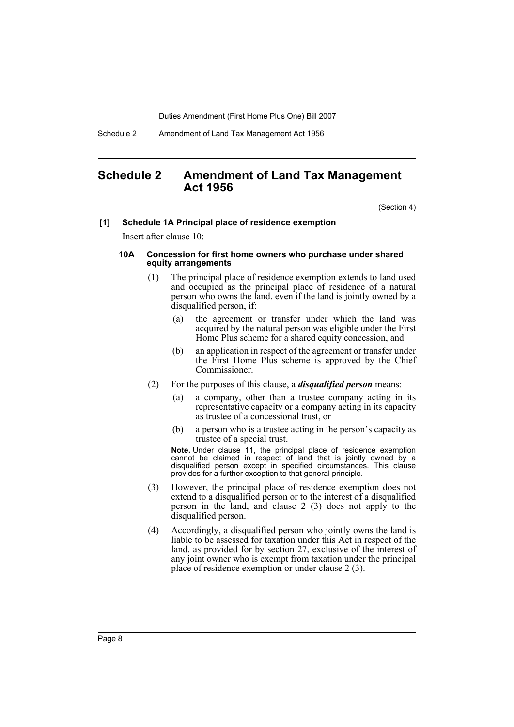Schedule 2 Amendment of Land Tax Management Act 1956

### <span id="page-8-0"></span>**Schedule 2 Amendment of Land Tax Management Act 1956**

(Section 4)

#### **[1] Schedule 1A Principal place of residence exemption**

Insert after clause 10:

#### **10A Concession for first home owners who purchase under shared equity arrangements**

- (1) The principal place of residence exemption extends to land used and occupied as the principal place of residence of a natural person who owns the land, even if the land is jointly owned by a disqualified person, if:
	- (a) the agreement or transfer under which the land was acquired by the natural person was eligible under the First Home Plus scheme for a shared equity concession, and
	- (b) an application in respect of the agreement or transfer under the First Home Plus scheme is approved by the Chief Commissioner.
- (2) For the purposes of this clause, a *disqualified person* means:
	- (a) a company, other than a trustee company acting in its representative capacity or a company acting in its capacity as trustee of a concessional trust, or
	- (b) a person who is a trustee acting in the person's capacity as trustee of a special trust.

**Note.** Under clause 11, the principal place of residence exemption cannot be claimed in respect of land that is jointly owned by a disqualified person except in specified circumstances. This clause provides for a further exception to that general principle.

- (3) However, the principal place of residence exemption does not extend to a disqualified person or to the interest of a disqualified person in the land, and clause 2 (3) does not apply to the disqualified person.
- (4) Accordingly, a disqualified person who jointly owns the land is liable to be assessed for taxation under this Act in respect of the land, as provided for by section 27, exclusive of the interest of any joint owner who is exempt from taxation under the principal place of residence exemption or under clause 2 (3).